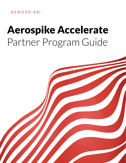## **KEROSPIKE**

# Aerospike Accelerate Partner Program Guide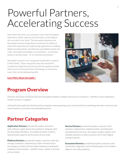# Powerful Partners, Accelerating Success

Now more than ever, our customers must meet the digital imperative, which requires real-time data, at the Edge to the core and in the cloud. The Aerospike database and Aerospike Connect integrations accelerate the ability to meet that imperative by modernizing applications, enabling digital transformation, and offering unparalleled speed and scale. Aerospike technology runs anywhere - on premise, public or private cloud - or in a hybrid environment.

Aerospike's partners are recognized worldwide as experts in their fields. These companies have discovered the competitive edge that partnering with Aerospike provides, with access to next generation technology, at enterprise scale, that can be deployed quickly.



#### [Learn More About Aerospike >](https://www.aerospike.com/company/)

## Program Overview

Discover the power of partnering with Aerospike to better compete and to serve customers - whether to sell, implement, embed, service, or support.

Joining the Aerospike Accelerate partner program means gaining access to the technical, marketing and sales resources you need to build a successful and profitable business.

# Partner Categories

Application Partners provide Aerospike customers with software applications that embed or integrate with the Aerospike Database. Aerospike provides resilient, operationally superior performance at any scale.

**Platform Partners** provide Aerospike customers with the storage, hardware, networking or other infrastructure technology on which the Aerospike Database is deployed, enabling a total solution - whether cloud - public or private, or bare metal.

**Service Partners** provide Aerospike customers with solutions, deployment, implementation, development and operational services. Aerospike enables modern and scalable solutions to help customers drive their digital transformations.

**Ecosystem Partners** provide Aerospike customers with connected, integrated, and certified products, for modern edge-to-core data pipelines.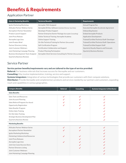# Benefits & Requirements

## Application Partner

| <b>Sales &amp; Marketing Benefits</b>     | <b>Technical Benefits</b>                                     | <b>Requirements</b>                            |
|-------------------------------------------|---------------------------------------------------------------|------------------------------------------------|
| Ignite Marketing Workshop                 | Aerospike TAM Assigned                                        | Annual Program Fee                             |
| Altitudes Partner Webinar Series          | Aerospike EE Dev. Software License (Partner Use Only)         | Executed Aerospike Accelerate Agreement        |
| Aerosphere Partner Newsletter             | Developer Product Support                                     | <b>Onboarding Session</b>                      |
| Product Launch Support                    | Partner Enterprise Starter Package (Aerospike Consulting)     | <b>Embed Aerospike Products</b>                |
| Joint Press Release                       | Online Technical Training: Aerospike Academy                  | <b>Application Development</b>                 |
| Aerospike Logo Uses                       | <b>Online Support Training</b>                                | Trained/Certified Technical Staff: Developer   |
| Joint Product Brief                       | On-Site Technical Training for Partner (Discounted)           | Trained/Certified Technical Staff: Operations  |
| Partner Directory Listing                 | Self-Certification Program                                    | <b>Trained/Certified Support Staff</b>         |
| Joint Customer Webinars                   | Certification Collaboration and Support                       | <b>Quarterly Royalty Reports and Forecasts</b> |
| Joint Marketing Campaign Planning         | <b>Product Planning Participation</b>                         | <b>Quarterly Business Reviews</b>              |
| <b>Business Development Team Assigned</b> | Aerospike Client Services Consulting for Partner (Discounted) |                                                |
| <b>Quarterly Business Reviews</b>         |                                                               |                                                |

### Service Partner

#### Service partner benefits/requirements vary and are tailored to the type of service provided:

Referral: For business referrals that increase success for Aerospike and our customers.

**Consulting:** May involve implementation, training, service and support.

Systems Integrators: Integration of various technologies that provide our customers with their compute solutions.

Distributor: Provide Aerospike and complementary products and services needed by our partners and customers, expanding reach and capabilities in various geographies.

| <b>Category Benefits</b>            | <b>Referral</b> | <b>Consulting</b> | <b>Systems Integrator &amp; Distributor</b> |
|-------------------------------------|-----------------|-------------------|---------------------------------------------|
| <b>Sales Benefits</b>               |                 |                   |                                             |
| Sales Tools and Resources           | ✓               | ✓                 | $\checkmark$                                |
| Joint Account Planning              |                 |                   |                                             |
| Sales Referral Program (Fee-Based)  |                 |                   |                                             |
| Opportunity Registration            |                 |                   |                                             |
| Sales Reseller Program              |                 |                   |                                             |
| <b>Online Sales Training</b>        |                 |                   |                                             |
| On-Site Sales Training              |                 |                   |                                             |
| Strategic Business Development Plan |                 |                   |                                             |
| <b>Quarterly Business Review</b>    |                 |                   |                                             |
| <b>Marketing Benefits</b>           |                 |                   |                                             |
| Altitudes Partner Webinar Series    | $\checkmark$    | ✓                 | $\checkmark$                                |
| Aerosphere Partner Newsletter       |                 |                   |                                             |
| Ignite Marketing Workshop           |                 |                   |                                             |
| Marketing Collateral And Resources  |                 |                   |                                             |
| Joint Press Releases                |                 |                   |                                             |
| Aerospike Logo Uses                 |                 |                   |                                             |
| Joint Use Cases/Success Story       |                 |                   |                                             |
| Partner Directory Listing           |                 |                   |                                             |
| Joint Customer Webinars             |                 |                   |                                             |
| Joint Marketing Campaign Planning   |                 |                   |                                             |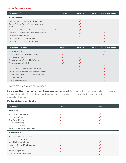#### Service Partner Continued

| <b>Category Benefits</b>                                           | <b>Referral</b> | <b>Consulting</b> | <b>Systems Integrator &amp; Distributor</b> |
|--------------------------------------------------------------------|-----------------|-------------------|---------------------------------------------|
| <b>Technical Benefits</b>                                          |                 |                   |                                             |
| Online Technical Training: Aerospike Academy                       |                 |                   |                                             |
| On-Site Technical Training for Partner (Discounted)                |                 |                   |                                             |
| Self-Certification Program                                         |                 | $\checkmark$      |                                             |
| Aerospike Client Services Sub-Contracting for Partner (Discounted) |                 | ✓                 |                                             |
| Aerospike EE Dev. Software License (Partner Use Only)              |                 | $\checkmark$      |                                             |
| Developer Product Support                                          |                 |                   |                                             |
| Certification Collaboration and Support                            |                 |                   |                                             |
| Aerospike Product Planning Participation                           |                 |                   |                                             |

| <b>Category Requirements</b>                          | <b>Referral</b> | <b>Consulting</b> | <b>Systems Integrator &amp; Distributor</b> |
|-------------------------------------------------------|-----------------|-------------------|---------------------------------------------|
| Annual Program Fee                                    |                 | $\checkmark$      |                                             |
| Executed Aerospike Accelerate Agreement               |                 |                   |                                             |
| <b>Onboarding Session</b>                             |                 |                   |                                             |
| Promote Aerospike Partnership As Agreed               |                 |                   |                                             |
| Promote Aerospike Products                            |                 |                   |                                             |
| Trained/Certified Technical Staff: Developer          |                 | ✓                 |                                             |
| Trained/Certified Technical Staff: Operations         |                 |                   |                                             |
| Trained/Certified Technical Staff: Solution Architect |                 | ✓                 |                                             |
| Trained Business Dev. & Technical Pre-Sales Staff     |                 |                   |                                             |
| Joint Business Plan                                   |                 |                   |                                             |
| <b>Quarterly Business Review</b>                      |                 |                   |                                             |

### Platform/Ecosystem Partner

Platform and Ecosystem partner benefits/requirements are tiered. After joining the program at the Silver level, Gold level partnerships may be offered - at the discretion of Aerospike - to recognize significant business volume, training levels, and depth of partnership.

#### Platform & Ecosystem Benefits

| <b>Category Benefits</b>            | <b>Silver</b> | Gold |  |
|-------------------------------------|---------------|------|--|
| <b>Sales Benefits</b>               |               |      |  |
| <b>Sales Tools And Resources</b>    |               |      |  |
| Joint Account Planning              |               |      |  |
| Sales Referral Program              |               |      |  |
| <b>Online Sales Training</b>        |               |      |  |
| On-Site Sales Training              |               |      |  |
| Strategic Business Development Plan |               |      |  |
| <b>Marketing Benefits</b>           |               |      |  |
| Altitudes Partner Webinar Series    |               |      |  |
| Aerosphere Partner Newsletter       |               |      |  |
| Ignite Marketing Workshop           |               |      |  |
| Marketing Collateral And Resources  |               |      |  |
| <b>Joint Press Releases</b>         |               |      |  |
| Aerospike Logo Uses                 |               |      |  |
| Joint Use Cases/Success Story       |               |      |  |